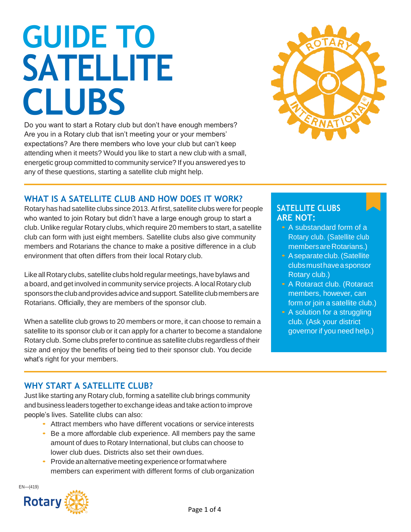# **GUIDE TO SATELLITE CLUBS**

Do you want to start a Rotary club but don't have enough members? Are you in a Rotary club that isn't meeting your or your members' expectations? Are there members who love your club but can't keep attending when it meets? Would you like to start a new club with a small, energetic group committed to community service? If you answered yes to any of these questions, starting a satellite club might help.



## **WHAT IS A SATELLITE CLUB AND HOW DOES IT WORK?**

Rotary has had satellite clubs since 2013.At first, satellite clubs were for people who wanted to join Rotary but didn't have a large enough group to start a club. Unlike regular Rotary clubs, which require 20 members to start, a satellite club can form with just eight members. Satellite clubs also give community members and Rotarians the chance to make a positive difference in a club environment that often differs from their local Rotary club.

Like all Rotary clubs, satellite clubs hold regular meetings, have bylaws and a board, and get involved in community service projects. A local Rotary club sponsors the club and provides advice and support. Satellite club members are Rotarians. Officially, they are members of the sponsor club.

When a satellite club grows to 20 members or more, it can choose to remain a satellite to its sponsor club or it can apply for a charter to become a standalone Rotary club.Some clubs preferto continue as satellite clubs regardless of their size and enjoy the benefits of being tied to their sponsor club. You decide what's right for your members.

#### **SATELLITE CLUBS ARE NOT:**

- A substandard form of a Rotary club. (Satellite club members are Rotarians.)
- A separate club. (Satellite clubsmusthaveasponsor Rotary club.)
- A Rotaract club. (Rotaract members, however, can form or join a satellite club.)
- A solution for a struggling club. (Ask your district governor if you need help.)

# **WHY START A SATELLITE CLUB?**

Just like starting any Rotary club, forming a satellite club brings community and business leaders together to exchange ideas and take action to improve people's lives. Satellite clubs can also:

- Attract members who have different vocations or service interests
- Be a more affordable club experience. All members pay the same amount of dues to Rotary International, but clubs can choose to lower club dues. Districts also set their own dues.
- Provide an alternative meeting experience or format where members can experiment with different forms of club organization

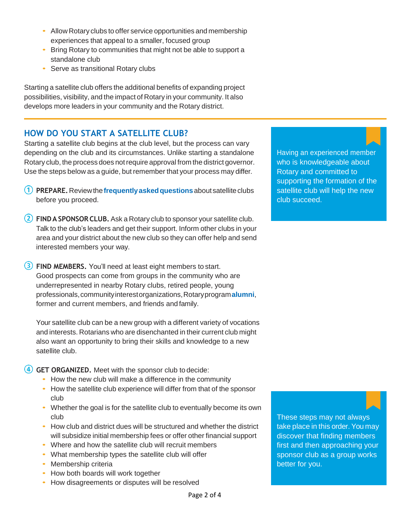- Allow Rotary clubs to offer service opportunities and membership experiences that appeal to a smaller, focused group
- Bring Rotary to communities that might not be able to support a standalone club
- Serve as transitional Rotary clubs

Starting a satellite club offers the additional benefits of expanding project possibilities, visibility, and the impact of Rotary in your community. It also develops more leaders in your community and the Rotary district.

#### **HOW DO YOU START A SATELLITE CLUB?**

Starting a satellite club begins at the club level, but the process can vary depending on the club and its circumstances. Unlike starting a standalone Rotary club, the process does not require approval from the district governor. Use the steps below as a guide, but remember that your process may differ.

- **(1) PREPARE.** Review the frequently asked questions about satellite clubs before you proceed.
- **FINDA SPONSOR CLUB.** Ask a Rotary club to sponsor your satellite club. Talk to the club's leaders and get their support. Inform other clubs in your area and your district about the new club so they can offer help and send interested members your way.

**FIND MEMBERS.** You'll need at least eight members to start. Good prospects can come from groups in the community who are underrepresented in nearby Rotary clubs, retired people, young professionals,communityinterestorganizations,Rotaryprogram**[alumni](https://my.rotary.org/en/exchange-ideas/club-connections/alumni)**, former and current members, and friends and family.

Your satellite club can be a new group with a different variety of vocations and interests. Rotarians who are disenchanted in their current club might also want an opportunity to bring their skills and knowledge to a new satellite club.

**GET ORGANIZED.** Meet with the sponsor club to decide:

- How the new club will make a difference in the community
- How the satellite club experience will differ from that of the sponsor club
- Whether the goal is for the satellite club to eventually become its own club
- How club and district dues will be structured and whether the district will subsidize initial membership fees or offer other financial support
- Where and how the satellite club will recruit members
- What membership types the satellite club will offer
- Membership criteria
- How both boards will work together
- How disagreements or disputes will be resolved

Having an experienced member who is knowledgeable about Rotary and committed to supporting the formation of the satellite club will help the new club succeed.

These steps may not always take place in this order. You may discover that finding members first and then approaching your sponsor club as a group works better for you.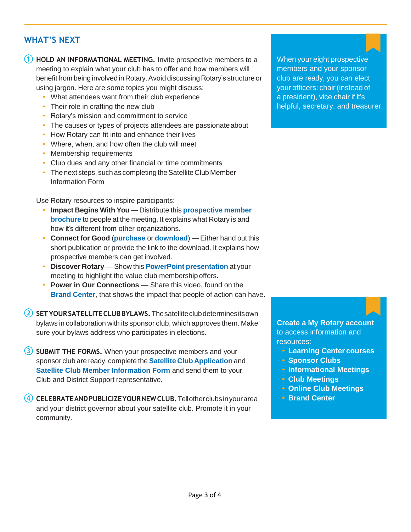### **WHAT'S NEXT**

**1** HOLD AN INFORMATIONAL MEETING. Invite prospective members to a meeting to explain what your club has to offer and how members will benefit from being involved in Rotary. Avoid discussing Rotary's structure or using jargon. Here are some topics you might discuss:

- What attendees want from their club experience
- Their role in crafting the new club
- Rotary's mission and commitment to service
- The causes or types of projects attendees are passionate about
- How Rotary can fit into and enhance their lives
- Where, when, and how often the club will meet
- Membership requirements
- Club dues and any other financial or time commitments
- The next steps, such as completing the Satellite Club Member Information Form

Use Rotary resources to inspire participants:

- **Impact Begins With You** Distribute this **[prospective](https://shop.rotary.org/prospective-member-brochure-impact-begins-with-you-english-set-of-5) membe[r](https://shop.rotary.org/prospective-member-brochure-impact-begins-with-you-english-set-of-5) [brochure](https://shop.rotary.org/prospective-member-brochure-impact-begins-with-you-english-set-of-5)** to people at the meeting. It explains what Rotary is and how it's different from other organizations.
- **Connect for Good** (**[purchase](https://shop.rotary.org/connect-for-good-595)** or **[download](https://my.rotary.org/en/document/connect-good)**) Either hand out this short publication or provide the link to the download. It explains how prospective members can get involved.
- **Discover Rotary** Show this **PowerPoint [presentation](https://my.rotary.org/en/document/discover-rotary)** at your meeting to highlight the value club membership offers.
- **Power in Our Connections** Share this video, found on the **[Brand Center](https://brandcenter.rotary.org/en-GB/Images-Video/Videos)**, that shows the impact that people of action can have.

**SETYOURSATELLITECLUBBYLAWS.**Thesatelliteclubdeterminesitsown bylaws in collaboration with its sponsor club, which approves them. Make sure your bylaws address who participates in elections.

**3** SUBMIT THE FORMS. When your prospective members and your sponsor club are ready, complete the **Satellite Club [Application](https://my.rotary.org/en/document/satellite-club-application)** and **[Satellite Club Member Information Form](https://my.rotary.org/en/document/satellite-club-member-information-form) and send them to your** Club and District Support representative.

**CELEBRATEANDPUBLICIZEYOURNEWCLUB.**Tellotherclubsinyourarea and your district governor about your satellite club. Promote it in your community.

When your eight prospective members and your sponsor club are ready, you can elect your officers: chair (instead of a president), vice chair if it's helpful, secretary, and treasurer.

**[Create a My Rotary account](https://my.rotary.org/en/document/how-create-my-rotary-account)** to access information and resources:

- **[Learning Center](https://www.rotary.org/learn) courses**
- **[Sponsor](https://my.rotary.org/en/document/sponsor-clubs) Clubs**
- **[Informational](https://my.rotary.org/en/document/informational-meetings) Meetings**
- **Club [Meetings](https://my.rotary.org/en/document/club-meetings)**
- **[Online Club](https://my.rotary.org/en/learning-reference/learn-topic/online-club-meetings) Meetings**
- **Brand [Center](https://brandcenter.rotary.org/en-GB/App/Approval)**